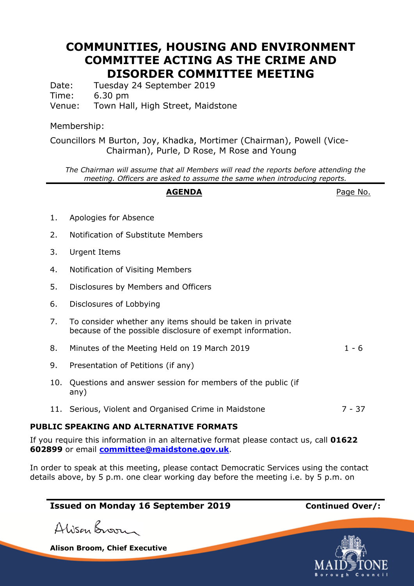## **COMMUNITIES, HOUSING AND ENVIRONMENT COMMITTEE ACTING AS THE CRIME AND DISORDER COMMITTEE MEETING**

Date: Tuesday 24 September 2019 Time: 6.30 pm Venue: Town Hall, High Street, Maidstone

### Membership:

Councillors M Burton, Joy, Khadka, Mortimer (Chairman), Powell (Vice-Chairman), Purle, D Rose, M Rose and Young

*The Chairman will assume that all Members will read the reports before attending the meeting. Officers are asked to assume the same when introducing reports.*

# **AGENDA** Page No. 1. Apologies for Absence 2. Notification of Substitute Members 3. Urgent Items 4. Notification of Visiting Members 5. Disclosures by Members and Officers 6. Disclosures of Lobbying 7. To consider whether any items should be taken in private because of the possible disclosure of exempt information. 8. Minutes of the Meeting Held on 19 March 2019 1 - 6 9. Presentation of Petitions (if any) 10. Questions and answer session for members of the public (if any) 11. Serious, Violent and Organised Crime in Maidstone 7 - 37

#### **PUBLIC SPEAKING AND ALTERNATIVE FORMATS**

If you require this information in an alternative format please contact us, call **01622 602899** or email **[committee@maidstone.gov.uk](mailto:committeeservices@maidstone.gov.uk)**.

In order to speak at this meeting, please contact Democratic Services using the contact details above, by 5 p.m. one clear working day before the meeting i.e. by 5 p.m. on

### **Issued on Monday 16 September 2019 Continued Over/:**

Alison Broom

**Alison Broom, Chief Executive**